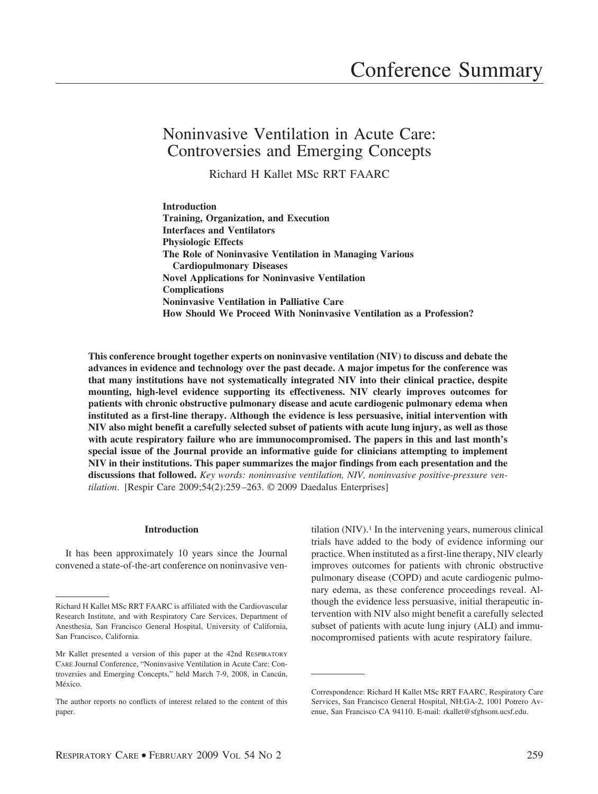# Noninvasive Ventilation in Acute Care: Controversies and Emerging Concepts

Richard H Kallet MSc RRT FAARC

**Introduction Training, Organization, and Execution Interfaces and Ventilators Physiologic Effects The Role of Noninvasive Ventilation in Managing Various Cardiopulmonary Diseases Novel Applications for Noninvasive Ventilation Complications Noninvasive Ventilation in Palliative Care How Should We Proceed With Noninvasive Ventilation as a Profession?**

**This conference brought together experts on noninvasive ventilation (NIV) to discuss and debate the advances in evidence and technology over the past decade. A major impetus for the conference was that many institutions have not systematically integrated NIV into their clinical practice, despite mounting, high-level evidence supporting its effectiveness. NIV clearly improves outcomes for patients with chronic obstructive pulmonary disease and acute cardiogenic pulmonary edema when instituted as a first-line therapy. Although the evidence is less persuasive, initial intervention with NIV also might benefit a carefully selected subset of patients with acute lung injury, as well as those with acute respiratory failure who are immunocompromised. The papers in this and last month's special issue of the Journal provide an informative guide for clinicians attempting to implement NIV in their institutions. This paper summarizes the major findings from each presentation and the discussions that followed.** *Key words: noninvasive ventilation, NIV, noninvasive positive-pressure ventilation*. [Respir Care 2009;54(2):259 –263. © 2009 Daedalus Enterprises]

## **Introduction**

It has been approximately 10 years since the Journal convened a state-of-the-art conference on noninvasive ventilation (NIV).<sup>1</sup> In the intervening years, numerous clinical trials have added to the body of evidence informing our practice. When instituted as a first-line therapy, NIV clearly improves outcomes for patients with chronic obstructive pulmonary disease (COPD) and acute cardiogenic pulmonary edema, as these conference proceedings reveal. Although the evidence less persuasive, initial therapeutic intervention with NIV also might benefit a carefully selected subset of patients with acute lung injury (ALI) and immunocompromised patients with acute respiratory failure.

Richard H Kallet MSc RRT FAARC is affiliated with the Cardiovascular Research Institute, and with Respiratory Care Services, Department of Anesthesia, San Francisco General Hospital, University of California, San Francisco, California.

Mr Kallet presented a version of this paper at the 42nd RESPIRATORY CARE Journal Conference, "Noninvasive Ventilation in Acute Care: Controversies and Emerging Concepts," held March 7-9, 2008, in Cancún, México

The author reports no conflicts of interest related to the content of this paper.

Correspondence: Richard H Kallet MSc RRT FAARC, Respiratory Care Services, San Francisco General Hospital, NH:GA-2, 1001 Potrero Avenue, San Francisco CA 94110. E-mail: rkallet@sfghsom.ucsf.edu.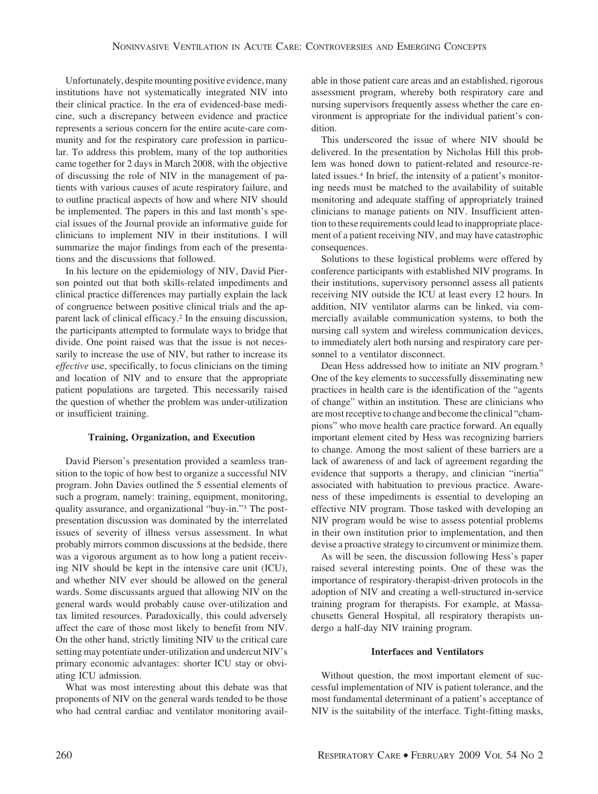Unfortunately, despite mounting positive evidence, many institutions have not systematically integrated NIV into their clinical practice. In the era of evidenced-base medicine, such a discrepancy between evidence and practice represents a serious concern for the entire acute-care community and for the respiratory care profession in particular. To address this problem, many of the top authorities came together for 2 days in March 2008, with the objective of discussing the role of NIV in the management of patients with various causes of acute respiratory failure, and to outline practical aspects of how and where NIV should be implemented. The papers in this and last month's special issues of the Journal provide an informative guide for clinicians to implement NIV in their institutions. I will summarize the major findings from each of the presentations and the discussions that followed.

In his lecture on the epidemiology of NIV, David Pierson pointed out that both skills-related impediments and clinical practice differences may partially explain the lack of congruence between positive clinical trials and the apparent lack of clinical efficacy.2 In the ensuing discussion, the participants attempted to formulate ways to bridge that divide. One point raised was that the issue is not necessarily to increase the use of NIV, but rather to increase its *effective* use, specifically, to focus clinicians on the timing and location of NIV and to ensure that the appropriate patient populations are targeted. This necessarily raised the question of whether the problem was under-utilization or insufficient training.

### **Training, Organization, and Execution**

David Pierson's presentation provided a seamless transition to the topic of how best to organize a successful NIV program. John Davies outlined the 5 essential elements of such a program, namely: training, equipment, monitoring, quality assurance, and organizational "buy-in."3 The postpresentation discussion was dominated by the interrelated issues of severity of illness versus assessment. In what probably mirrors common discussions at the bedside, there was a vigorous argument as to how long a patient receiving NIV should be kept in the intensive care unit (ICU), and whether NIV ever should be allowed on the general wards. Some discussants argued that allowing NIV on the general wards would probably cause over-utilization and tax limited resources. Paradoxically, this could adversely affect the care of those most likely to benefit from NIV. On the other hand, strictly limiting NIV to the critical care setting may potentiate under-utilization and undercut NIV's primary economic advantages: shorter ICU stay or obviating ICU admission.

What was most interesting about this debate was that proponents of NIV on the general wards tended to be those who had central cardiac and ventilator monitoring available in those patient care areas and an established, rigorous assessment program, whereby both respiratory care and nursing supervisors frequently assess whether the care environment is appropriate for the individual patient's condition.

This underscored the issue of where NIV should be delivered. In the presentation by Nicholas Hill this problem was honed down to patient-related and resource-related issues.<sup>4</sup> In brief, the intensity of a patient's monitoring needs must be matched to the availability of suitable monitoring and adequate staffing of appropriately trained clinicians to manage patients on NIV. Insufficient attention to these requirements could lead to inappropriate placement of a patient receiving NIV, and may have catastrophic consequences.

Solutions to these logistical problems were offered by conference participants with established NIV programs. In their institutions, supervisory personnel assess all patients receiving NIV outside the ICU at least every 12 hours. In addition, NIV ventilator alarms can be linked, via commercially available communication systems, to both the nursing call system and wireless communication devices, to immediately alert both nursing and respiratory care personnel to a ventilator disconnect.

Dean Hess addressed how to initiate an NIV program.5 One of the key elements to successfully disseminating new practices in health care is the identification of the "agents of change" within an institution. These are clinicians who are most receptive to change and become the clinical "champions" who move health care practice forward. An equally important element cited by Hess was recognizing barriers to change. Among the most salient of these barriers are a lack of awareness of and lack of agreement regarding the evidence that supports a therapy, and clinician "inertia" associated with habituation to previous practice. Awareness of these impediments is essential to developing an effective NIV program. Those tasked with developing an NIV program would be wise to assess potential problems in their own institution prior to implementation, and then devise a proactive strategy to circumvent or minimize them.

As will be seen, the discussion following Hess's paper raised several interesting points. One of these was the importance of respiratory-therapist-driven protocols in the adoption of NIV and creating a well-structured in-service training program for therapists. For example, at Massachusetts General Hospital, all respiratory therapists undergo a half-day NIV training program.

### **Interfaces and Ventilators**

Without question, the most important element of successful implementation of NIV is patient tolerance, and the most fundamental determinant of a patient's acceptance of NIV is the suitability of the interface. Tight-fitting masks,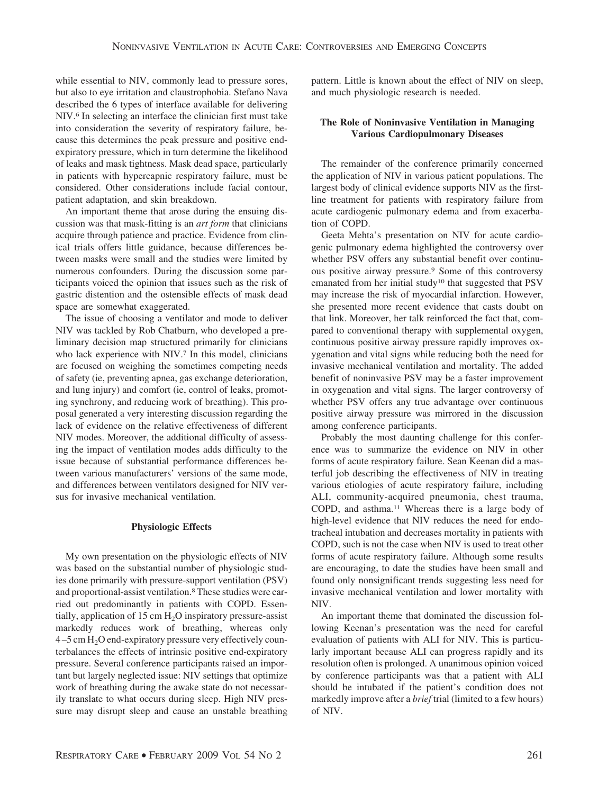while essential to NIV, commonly lead to pressure sores, but also to eye irritation and claustrophobia. Stefano Nava described the 6 types of interface available for delivering NIV.6 In selecting an interface the clinician first must take into consideration the severity of respiratory failure, because this determines the peak pressure and positive endexpiratory pressure, which in turn determine the likelihood of leaks and mask tightness. Mask dead space, particularly in patients with hypercapnic respiratory failure, must be considered. Other considerations include facial contour, patient adaptation, and skin breakdown.

An important theme that arose during the ensuing discussion was that mask-fitting is an *art form* that clinicians acquire through patience and practice. Evidence from clinical trials offers little guidance, because differences between masks were small and the studies were limited by numerous confounders. During the discussion some participants voiced the opinion that issues such as the risk of gastric distention and the ostensible effects of mask dead space are somewhat exaggerated.

The issue of choosing a ventilator and mode to deliver NIV was tackled by Rob Chatburn, who developed a preliminary decision map structured primarily for clinicians who lack experience with NIV.<sup>7</sup> In this model, clinicians are focused on weighing the sometimes competing needs of safety (ie, preventing apnea, gas exchange deterioration, and lung injury) and comfort (ie, control of leaks, promoting synchrony, and reducing work of breathing). This proposal generated a very interesting discussion regarding the lack of evidence on the relative effectiveness of different NIV modes. Moreover, the additional difficulty of assessing the impact of ventilation modes adds difficulty to the issue because of substantial performance differences between various manufacturers' versions of the same mode, and differences between ventilators designed for NIV versus for invasive mechanical ventilation.

## **Physiologic Effects**

My own presentation on the physiologic effects of NIV was based on the substantial number of physiologic studies done primarily with pressure-support ventilation (PSV) and proportional-assist ventilation.8These studies were carried out predominantly in patients with COPD. Essentially, application of 15 cm  $H<sub>2</sub>O$  inspiratory pressure-assist markedly reduces work of breathing, whereas only  $4-5$  cm  $H<sub>2</sub>O$  end-expiratory pressure very effectively counterbalances the effects of intrinsic positive end-expiratory pressure. Several conference participants raised an important but largely neglected issue: NIV settings that optimize work of breathing during the awake state do not necessarily translate to what occurs during sleep. High NIV pressure may disrupt sleep and cause an unstable breathing pattern. Little is known about the effect of NIV on sleep, and much physiologic research is needed.

## **The Role of Noninvasive Ventilation in Managing Various Cardiopulmonary Diseases**

The remainder of the conference primarily concerned the application of NIV in various patient populations. The largest body of clinical evidence supports NIV as the firstline treatment for patients with respiratory failure from acute cardiogenic pulmonary edema and from exacerbation of COPD.

Geeta Mehta's presentation on NIV for acute cardiogenic pulmonary edema highlighted the controversy over whether PSV offers any substantial benefit over continuous positive airway pressure.9 Some of this controversy emanated from her initial study<sup>10</sup> that suggested that PSV may increase the risk of myocardial infarction. However, she presented more recent evidence that casts doubt on that link. Moreover, her talk reinforced the fact that, compared to conventional therapy with supplemental oxygen, continuous positive airway pressure rapidly improves oxygenation and vital signs while reducing both the need for invasive mechanical ventilation and mortality. The added benefit of noninvasive PSV may be a faster improvement in oxygenation and vital signs. The larger controversy of whether PSV offers any true advantage over continuous positive airway pressure was mirrored in the discussion among conference participants.

Probably the most daunting challenge for this conference was to summarize the evidence on NIV in other forms of acute respiratory failure. Sean Keenan did a masterful job describing the effectiveness of NIV in treating various etiologies of acute respiratory failure, including ALI, community-acquired pneumonia, chest trauma, COPD, and asthma.11 Whereas there is a large body of high-level evidence that NIV reduces the need for endotracheal intubation and decreases mortality in patients with COPD, such is not the case when NIV is used to treat other forms of acute respiratory failure. Although some results are encouraging, to date the studies have been small and found only nonsignificant trends suggesting less need for invasive mechanical ventilation and lower mortality with NIV.

An important theme that dominated the discussion following Keenan's presentation was the need for careful evaluation of patients with ALI for NIV. This is particularly important because ALI can progress rapidly and its resolution often is prolonged. A unanimous opinion voiced by conference participants was that a patient with ALI should be intubated if the patient's condition does not markedly improve after a *brief* trial (limited to a few hours) of NIV.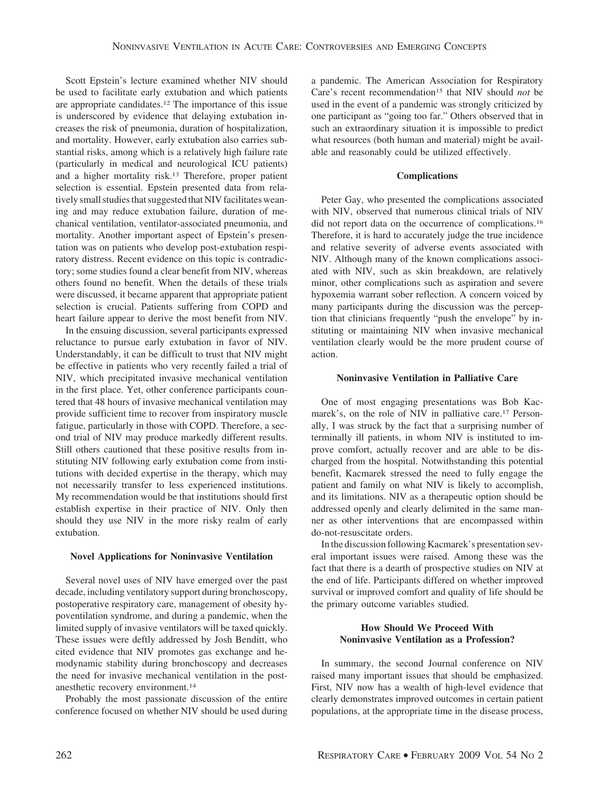Scott Epstein's lecture examined whether NIV should be used to facilitate early extubation and which patients are appropriate candidates.12 The importance of this issue is underscored by evidence that delaying extubation increases the risk of pneumonia, duration of hospitalization, and mortality. However, early extubation also carries substantial risks, among which is a relatively high failure rate (particularly in medical and neurological ICU patients) and a higher mortality risk.13 Therefore, proper patient selection is essential. Epstein presented data from relatively small studies that suggested that NIV facilitates weaning and may reduce extubation failure, duration of mechanical ventilation, ventilator-associated pneumonia, and mortality. Another important aspect of Epstein's presentation was on patients who develop post-extubation respiratory distress. Recent evidence on this topic is contradictory; some studies found a clear benefit from NIV, whereas others found no benefit. When the details of these trials were discussed, it became apparent that appropriate patient selection is crucial. Patients suffering from COPD and heart failure appear to derive the most benefit from NIV.

In the ensuing discussion, several participants expressed reluctance to pursue early extubation in favor of NIV. Understandably, it can be difficult to trust that NIV might be effective in patients who very recently failed a trial of NIV, which precipitated invasive mechanical ventilation in the first place. Yet, other conference participants countered that 48 hours of invasive mechanical ventilation may provide sufficient time to recover from inspiratory muscle fatigue, particularly in those with COPD. Therefore, a second trial of NIV may produce markedly different results. Still others cautioned that these positive results from instituting NIV following early extubation come from institutions with decided expertise in the therapy, which may not necessarily transfer to less experienced institutions. My recommendation would be that institutions should first establish expertise in their practice of NIV. Only then should they use NIV in the more risky realm of early extubation.

### **Novel Applications for Noninvasive Ventilation**

Several novel uses of NIV have emerged over the past decade, including ventilatory support during bronchoscopy, postoperative respiratory care, management of obesity hypoventilation syndrome, and during a pandemic, when the limited supply of invasive ventilators will be taxed quickly. These issues were deftly addressed by Josh Benditt, who cited evidence that NIV promotes gas exchange and hemodynamic stability during bronchoscopy and decreases the need for invasive mechanical ventilation in the postanesthetic recovery environment.14

Probably the most passionate discussion of the entire conference focused on whether NIV should be used during

a pandemic. The American Association for Respiratory Care's recent recommendation<sup>15</sup> that NIV should *not* be used in the event of a pandemic was strongly criticized by one participant as "going too far." Others observed that in such an extraordinary situation it is impossible to predict what resources (both human and material) might be available and reasonably could be utilized effectively.

#### **Complications**

Peter Gay, who presented the complications associated with NIV, observed that numerous clinical trials of NIV did not report data on the occurrence of complications.16 Therefore, it is hard to accurately judge the true incidence and relative severity of adverse events associated with NIV. Although many of the known complications associated with NIV, such as skin breakdown, are relatively minor, other complications such as aspiration and severe hypoxemia warrant sober reflection. A concern voiced by many participants during the discussion was the perception that clinicians frequently "push the envelope" by instituting or maintaining NIV when invasive mechanical ventilation clearly would be the more prudent course of action.

#### **Noninvasive Ventilation in Palliative Care**

One of most engaging presentations was Bob Kacmarek's, on the role of NIV in palliative care.17 Personally, I was struck by the fact that a surprising number of terminally ill patients, in whom NIV is instituted to improve comfort, actually recover and are able to be discharged from the hospital. Notwithstanding this potential benefit, Kacmarek stressed the need to fully engage the patient and family on what NIV is likely to accomplish, and its limitations. NIV as a therapeutic option should be addressed openly and clearly delimited in the same manner as other interventions that are encompassed within do-not-resuscitate orders.

In the discussion following Kacmarek's presentation several important issues were raised. Among these was the fact that there is a dearth of prospective studies on NIV at the end of life. Participants differed on whether improved survival or improved comfort and quality of life should be the primary outcome variables studied.

## **How Should We Proceed With Noninvasive Ventilation as a Profession?**

In summary, the second Journal conference on NIV raised many important issues that should be emphasized. First, NIV now has a wealth of high-level evidence that clearly demonstrates improved outcomes in certain patient populations, at the appropriate time in the disease process,